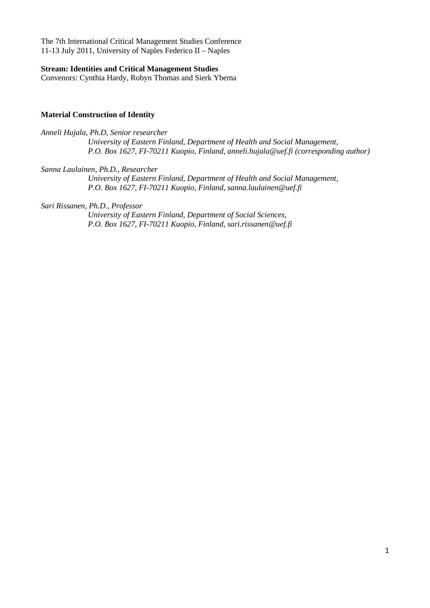The 7th International Critical Management Studies Conference 11-13 July 2011, University of Naples Federico II – Naples

#### **Stream: Identities and Critical Management Studies**

Convenors: Cynthia Hardy, Robyn Thomas and Sierk Ybema

## **Material Construction of Identity**

*Anneli Hujala, Ph.D, Senior researcher University of Eastern Finland, Department of Health and Social Management, P.O. Box 1627, FI-70211 Kuopio, Finland, anneli.hujala@uef.fi (corresponding author)* 

*Sanna Laulainen, Ph.D., Researcher* 

*University of Eastern Finland, Department of Health and Social Management, P.O. Box 1627, FI-70211 Kuopio, Finland, sanna.laulainen@uef.fi* 

*Sari Rissanen, Ph.D., Professor* 

*University of Eastern Finland, Department of Social Sciences, P.O. Box 1627, FI-70211 Kuopio, Finland, sari.rissanen@uef.fi*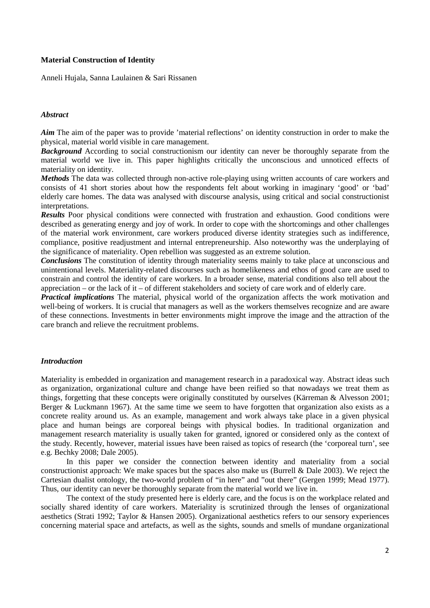## **Material Construction of Identity**

Anneli Hujala, Sanna Laulainen & Sari Rissanen

## *Abstract*

*Aim* The aim of the paper was to provide 'material reflections' on identity construction in order to make the physical, material world visible in care management.

**Background** According to social constructionism our identity can never be thoroughly separate from the material world we live in. This paper highlights critically the unconscious and unnoticed effects of materiality on identity.

*Methods* The data was collected through non-active role-playing using written accounts of care workers and consists of 41 short stories about how the respondents felt about working in imaginary 'good' or 'bad' elderly care homes. The data was analysed with discourse analysis, using critical and social constructionist interpretations.

*Results* Poor physical conditions were connected with frustration and exhaustion. Good conditions were described as generating energy and joy of work. In order to cope with the shortcomings and other challenges of the material work environment, care workers produced diverse identity strategies such as indifference, compliance, positive readjustment and internal entrepreneurship. Also noteworthy was the underplaying of the significance of materiality. Open rebellion was suggested as an extreme solution.

*Conclusions* The constitution of identity through materiality seems mainly to take place at unconscious and unintentional levels. Materiality-related discourses such as homelikeness and ethos of good care are used to constrain and control the identity of care workers. In a broader sense, material conditions also tell about the appreciation – or the lack of it – of different stakeholders and society of care work and of elderly care.

*Practical implications* The material, physical world of the organization affects the work motivation and well-being of workers. It is crucial that managers as well as the workers themselves recognize and are aware of these connections. Investments in better environments might improve the image and the attraction of the care branch and relieve the recruitment problems.

#### *Introduction*

Materiality is embedded in organization and management research in a paradoxical way. Abstract ideas such as organization, organizational culture and change have been reified so that nowadays we treat them as things, forgetting that these concepts were originally constituted by ourselves (Kärreman & Alvesson 2001; Berger & Luckmann 1967). At the same time we seem to have forgotten that organization also exists as a concrete reality around us. As an example, management and work always take place in a given physical place and human beings are corporeal beings with physical bodies. In traditional organization and management research materiality is usually taken for granted, ignored or considered only as the context of the study. Recently, however, material issues have been raised as topics of research (the 'corporeal turn', see e.g. Bechky 2008; Dale 2005).

In this paper we consider the connection between identity and materiality from a social constructionist approach: We make spaces but the spaces also make us (Burrell & Dale 2003). We reject the Cartesian dualist ontology, the two-world problem of "in here" and "out there" (Gergen 1999; Mead 1977). Thus, our identity can never be thoroughly separate from the material world we live in.

The context of the study presented here is elderly care, and the focus is on the workplace related and socially shared identity of care workers. Materiality is scrutinized through the lenses of organizational aesthetics (Strati 1992; Taylor & Hansen 2005). Organizational aesthetics refers to our sensory experiences concerning material space and artefacts, as well as the sights, sounds and smells of mundane organizational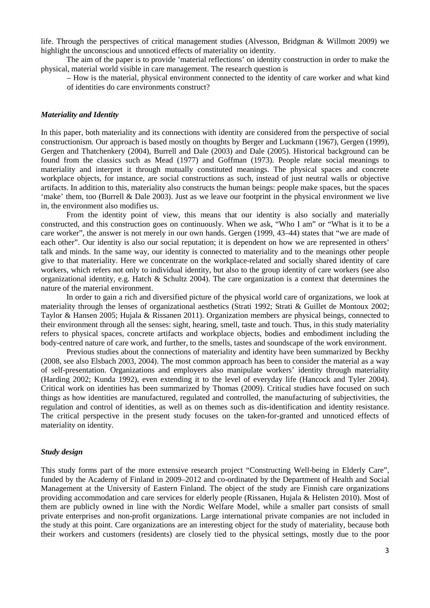life. Through the perspectives of critical management studies (Alvesson, Bridgman & Willmott 2009) we highlight the unconscious and unnoticed effects of materiality on identity.

The aim of the paper is to provide 'material reflections' on identity construction in order to make the physical, material world visible in care management. The research question is

– How is the material, physical environment connected to the identity of care worker and what kind of identities do care environments construct?

## *Materiality and Identity*

In this paper, both materiality and its connections with identity are considered from the perspective of social constructionism. Our approach is based mostly on thoughts by Berger and Luckmann (1967), Gergen (1999), Gergen and Thatchenkery (2004), Burrell and Dale (2003) and Dale (2005). Historical background can be found from the classics such as Mead (1977) and Goffman (1973). People relate social meanings to materiality and interpret it through mutually constituted meanings. The physical spaces and concrete workplace objects, for instance, are social constructions as such, instead of just neutral walls or objective artifacts. In addition to this, materiality also constructs the human beings: people make spaces, but the spaces 'make' them, too (Burrell & Dale 2003). Just as we leave our footprint in the physical environment we live in, the environment also modifies us.

From the identity point of view, this means that our identity is also socially and materially constructed, and this construction goes on continuously. When we ask, "Who I am" or "What is it to be a care worker", the answer is not merely in our own hands. Gergen (1999, 43–44) states that "we are made of each other". Our identity is also our social reputation; it is dependent on how we are represented in others' talk and minds. In the same way, our identity is connected to materiality and to the meanings other people give to that materiality. Here we concentrate on the workplace-related and socially shared identity of care workers, which refers not only to individual identity, but also to the group identity of care workers (see also organizational identity, e.g. Hatch & Schultz 2004). The care organization is a context that determines the nature of the material environment.

In order to gain a rich and diversified picture of the physical world care of organizations, we look at materiality through the lenses of organizational aesthetics (Strati 1992; Strati & Guillet de Montoux 2002; Taylor & Hansen 2005; Hujala & Rissanen 2011). Organization members are physical beings, connected to their environment through all the senses: sight, hearing, smell, taste and touch. Thus, in this study materiality refers to physical spaces, concrete artifacts and workplace objects, bodies and embodiment including the body-centred nature of care work, and further, to the smells, tastes and soundscape of the work environment.

Previous studies about the connections of materiality and identity have been summarized by Beckhy (2008, see also Elsbach 2003, 2004). The most common approach has been to consider the material as a way of self-presentation. Organizations and employers also manipulate workers' identity through materiality (Harding 2002; Kunda 1992), even extending it to the level of everyday life (Hancock and Tyler 2004). Critical work on identities has been summarized by Thomas (2009). Critical studies have focused on such things as how identities are manufactured, regulated and controlled, the manufacturing of subjectivities, the regulation and control of identities, as well as on themes such as dis-identification and identity resistance. The critical perspective in the present study focuses on the taken-for-granted and unnoticed effects of materiality on identity.

#### *Study design*

This study forms part of the more extensive research project "Constructing Well-being in Elderly Care", funded by the Academy of Finland in 2009–2012 and co-ordinated by the Department of Health and Social Management at the University of Eastern Finland. The object of the study are Finnish care organizations providing accommodation and care services for elderly people (Rissanen, Hujala & Helisten 2010). Most of them are publicly owned in line with the Nordic Welfare Model, while a smaller part consists of small private enterprises and non-profit organizations. Large international private companies are not included in the study at this point. Care organizations are an interesting object for the study of materiality, because both their workers and customers (residents) are closely tied to the physical settings, mostly due to the poor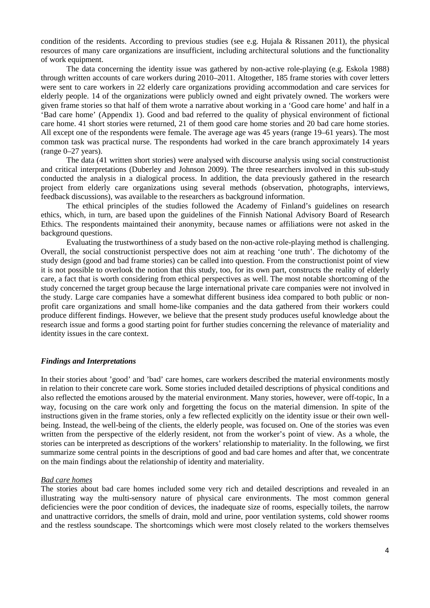condition of the residents. According to previous studies (see e.g. Hujala & Rissanen 2011), the physical resources of many care organizations are insufficient, including architectural solutions and the functionality of work equipment.

The data concerning the identity issue was gathered by non-active role-playing (e.g. Eskola 1988) through written accounts of care workers during 2010–2011. Altogether, 185 frame stories with cover letters were sent to care workers in 22 elderly care organizations providing accommodation and care services for elderly people. 14 of the organizations were publicly owned and eight privately owned. The workers were given frame stories so that half of them wrote a narrative about working in a 'Good care home' and half in a 'Bad care home' (Appendix 1). Good and bad referred to the quality of physical environment of fictional care home. 41 short stories were returned, 21 of them good care home stories and 20 bad care home stories. All except one of the respondents were female. The average age was 45 years (range 19–61 years). The most common task was practical nurse. The respondents had worked in the care branch approximately 14 years (range 0–27 years).

The data (41 written short stories) were analysed with discourse analysis using social constructionist and critical interpretations (Duberley and Johnson 2009). The three researchers involved in this sub-study conducted the analysis in a dialogical process. In addition, the data previously gathered in the research project from elderly care organizations using several methods (observation, photographs, interviews, feedback discussions), was available to the researchers as background information.

The ethical principles of the studies followed the Academy of Finland's guidelines on research ethics, which, in turn, are based upon the guidelines of the Finnish National Advisory Board of Research Ethics. The respondents maintained their anonymity, because names or affiliations were not asked in the background questions.

Evaluating the trustworthiness of a study based on the non-active role-playing method is challenging. Overall, the social constructionist perspective does not aim at reaching 'one truth'. The dichotomy of the study design (good and bad frame stories) can be called into question. From the constructionist point of view it is not possible to overlook the notion that this study, too, for its own part, constructs the reality of elderly care, a fact that is worth considering from ethical perspectives as well. The most notable shortcoming of the study concerned the target group because the large international private care companies were not involved in the study. Large care companies have a somewhat different business idea compared to both public or nonprofit care organizations and small home-like companies and the data gathered from their workers could produce different findings. However, we believe that the present study produces useful knowledge about the research issue and forms a good starting point for further studies concerning the relevance of materiality and identity issues in the care context.

## *Findings and Interpretations*

In their stories about 'good' and 'bad' care homes, care workers described the material environments mostly in relation to their concrete care work. Some stories included detailed descriptions of physical conditions and also reflected the emotions aroused by the material environment. Many stories, however, were off-topic, In a way, focusing on the care work only and forgetting the focus on the material dimension. In spite of the instructions given in the frame stories, only a few reflected explicitly on the identity issue or their own wellbeing. Instead, the well-being of the clients, the elderly people, was focused on. One of the stories was even written from the perspective of the elderly resident, not from the worker's point of view. As a whole, the stories can be interpreted as descriptions of the workers' relationship to materiality. In the following, we first summarize some central points in the descriptions of good and bad care homes and after that, we concentrate on the main findings about the relationship of identity and materiality.

#### *Bad care homes*

The stories about bad care homes included some very rich and detailed descriptions and revealed in an illustrating way the multi-sensory nature of physical care environments. The most common general deficiencies were the poor condition of devices, the inadequate size of rooms, especially toilets, the narrow and unattractive corridors, the smells of drain, mold and urine, poor ventilation systems, cold shower rooms and the restless soundscape. The shortcomings which were most closely related to the workers themselves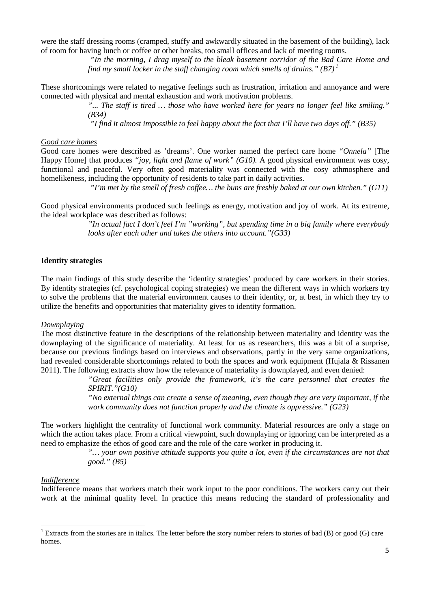were the staff dressing rooms (cramped, stuffy and awkwardly situated in the basement of the building), lack of room for having lunch or coffee or other breaks, too small offices and lack of meeting rooms.

> *"In the morning, I drag myself to the bleak basement corridor of the Bad Care Home and find my small locker in the staff changing room which smells of drains." (B7)<sup>1</sup>*

These shortcomings were related to negative feelings such as frustration, irritation and annoyance and were connected with physical and mental exhaustion and work motivation problems.

> *"... The staff is tired … those who have worked here for years no longer feel like smiling." (B34)*

 *"I find it almost impossible to feel happy about the fact that I'll have two days off." (B35)* 

## *Good care homes*

Good care homes were described as 'dreams'. One worker named the perfect care home *"Onnela"* [The Happy Home] that produces *"joy, light and flame of work" (G10).* A good physical environment was cosy, functional and peaceful. Very often good materiality was connected with the cosy athmosphere and homelikeness, including the opportunity of residents to take part in daily activities.

 *"I'm met by the smell of fresh coffee… the buns are freshly baked at our own kitchen." (G11)* 

Good physical environments produced such feelings as energy, motivation and joy of work. At its extreme, the ideal workplace was described as follows:

> *"In actual fact I don't feel I'm "working", but spending time in a big family where everybody looks after each other and takes the others into account."(G33)*

## **Identity strategies**

The main findings of this study describe the 'identity strategies' produced by care workers in their stories. By identity strategies (cf. psychological coping strategies) we mean the different ways in which workers try to solve the problems that the material environment causes to their identity, or, at best, in which they try to utilize the benefits and opportunities that materiality gives to identity formation.

## *Downplaying*

The most distinctive feature in the descriptions of the relationship between materiality and identity was the downplaying of the significance of materiality. At least for us as researchers, this was a bit of a surprise, because our previous findings based on interviews and observations, partly in the very same organizations, had revealed considerable shortcomings related to both the spaces and work equipment (Hujala & Rissanen 2011). The following extracts show how the relevance of materiality is downplayed, and even denied:

> *"Great facilities only provide the framework, it's the care personnel that creates the SPIRIT."(G10)*

> *"No external things can create a sense of meaning, even though they are very important, if the work community does not function properly and the climate is oppressive." (G23)*

The workers highlight the centrality of functional work community. Material resources are only a stage on which the action takes place. From a critical viewpoint, such downplaying or ignoring can be interpreted as a need to emphasize the ethos of good care and the role of the care worker in producing it.

> *"… your own positive attitude supports you quite a lot, even if the circumstances are not that good." (B5)*

#### *Indifference*

 $\overline{a}$ 

Indifference means that workers match their work input to the poor conditions. The workers carry out their work at the minimal quality level. In practice this means reducing the standard of professionality and

<sup>&</sup>lt;sup>1</sup> Extracts from the stories are in italics. The letter before the story number refers to stories of bad (B) or good (G) care homes.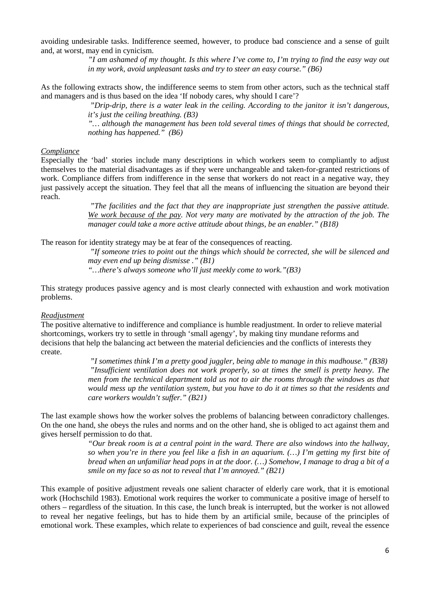avoiding undesirable tasks. Indifference seemed, however, to produce bad conscience and a sense of guilt and, at worst, may end in cynicism.

> *"I am ashamed of my thought. Is this where I've come to, I'm trying to find the easy way out in my work, avoid unpleasant tasks and try to steer an easy course." (B6)*

As the following extracts show, the indifference seems to stem from other actors, such as the technical staff and managers and is thus based on the idea 'If nobody cares, why should I care'?

> *"Drip-drip, there is a water leak in the ceiling. According to the janitor it isn't dangerous, it's just the ceiling breathing. (B3)*

> *"… although the management has been told several times of things that should be corrected, nothing has happened." (B6)*

#### *Compliance*

Especially the 'bad' stories include many descriptions in which workers seem to compliantly to adjust themselves to the material disadvantages as if they were unchangeable and taken-for-granted restrictions of work. Compliance differs from indifference in the sense that workers do not react in a negative way, they just passively accept the situation. They feel that all the means of influencing the situation are beyond their reach.

> *"The facilities and the fact that they are inappropriate just strengthen the passive attitude. We work because of the pay. Not very many are motivated by the attraction of the job. The manager could take a more active attitude about things, be an enabler." (B18)*

The reason for identity strategy may be at fear of the consequences of reacting.

 *"If someone tries to point out the things which should be corrected, she will be silenced and may even end up being dismisse ." (B1) "…there's always someone who'll just meekly come to work."(B3)* 

This strategy produces passive agency and is most clearly connected with exhaustion and work motivation problems.

#### *Readjustment*

The positive alternative to indifference and compliance is humble readjustment. In order to relieve material shortcomings, workers try to settle in through 'small agengy', by making tiny mundane reforms and decisions that help the balancing act between the material deficiencies and the conflicts of interests they create.

> *"I sometimes think I'm a pretty good juggler, being able to manage in this madhouse." (B38) "Insufficient ventilation does not work properly, so at times the smell is pretty heavy. The men from the technical department told us not to air the rooms through the windows as that would mess up the ventilation system, but you have to do it at times so that the residents and care workers wouldn't suffer." (B21)*

The last example shows how the worker solves the problems of balancing between conradictory challenges. On the one hand, she obeys the rules and norms and on the other hand, she is obliged to act against them and gives herself permission to do that.

> *"Our break room is at a central point in the ward. There are also windows into the hallway, so when you're in there you feel like a fish in an aquarium. (…) I'm getting my first bite of bread when an unfamiliar head pops in at the door. (…) Somehow, I manage to drag a bit of a smile on my face so as not to reveal that I'm annoyed." (B21)*

This example of positive adjustment reveals one salient character of elderly care work, that it is emotional work (Hochschild 1983). Emotional work requires the worker to communicate a positive image of herself to others – regardless of the situation. In this case, the lunch break is interrupted, but the worker is not allowed to reveal her negative feelings, but has to hide them by an artificial smile, because of the principles of emotional work. These examples, which relate to experiences of bad conscience and guilt, reveal the essence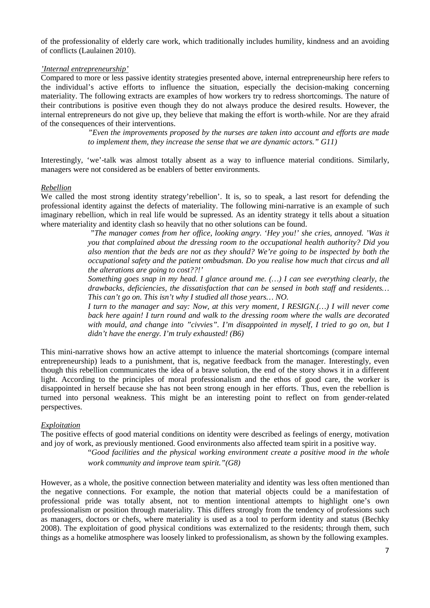of the professionality of elderly care work, which traditionally includes humility, kindness and an avoiding of conflicts (Laulainen 2010).

## *'Internal entrepreneurship'*

Compared to more or less passive identity strategies presented above, internal entrepreneurship here refers to the individual's active efforts to influence the situation, especially the decision-making concerning materiality. The following extracts are examples of how workers try to redress shortcomings. The nature of their contributions is positive even though they do not always produce the desired results. However, the internal entrepreneurs do not give up, they believe that making the effort is worth-while. Nor are they afraid of the consequences of their interventions.

> *"Even the improvements proposed by the nurses are taken into account and efforts are made to implement them, they increase the sense that we are dynamic actors." G11)*

Interestingly, 'we'-talk was almost totally absent as a way to influence material conditions. Similarly, managers were not considered as be enablers of better environments.

## *Rebellion*

We called the most strong identity strategy'rebellion'. It is, so to speak, a last resort for defending the professional identity against the defects of materiality. The following mini-narrative is an example of such imaginary rebellion, which in real life would be supressed. As an identity strategy it tells about a situation where materiality and identity clash so heavily that no other solutions can be found.

> *"The manager comes from her office, looking angry. 'Hey you!' she cries, annoyed. 'Was it you that complained about the dressing room to the occupational health authority? Did you also mention that the beds are not as they should? We're going to be inspected by both the occupational safety and the patient ombudsman. Do you realise how much that circus and all the alterations are going to cost??!'*

> *Something goes snap in my head. I glance around me. (…) I can see everything clearly, the drawbacks, deficiencies, the dissatisfaction that can be sensed in both staff and residents… This can't go on. This isn't why I studied all those years… NO.*

> *I turn to the manager and say: Now, at this very moment, I RESIGN.(…) I will never come back here again! I turn round and walk to the dressing room where the walls are decorated with mould, and change into "civvies". I'm disappointed in myself, I tried to go on, but I didn't have the energy. I'm truly exhausted! (B6)*

This mini-narrative shows how an active attempt to inluence the material shortcomings (compare internal entrepreneurship) leads to a punishment, that is, negative feedback from the manager. Interestingly, even though this rebellion communicates the idea of a brave solution, the end of the story shows it in a different light. According to the principles of moral professionalism and the ethos of good care, the worker is disappointed in herself because she has not been strong enough in her efforts. Thus, even the rebellion is turned into personal weakness. This might be an interesting point to reflect on from gender-related perspectives.

## *Exploitation*

The positive effects of good material conditions on identity were described as feelings of energy, motivation and joy of work, as previously mentioned. Good environments also affected team spirit in a positive way.

> "*Good facilities and the physical working environment create a positive mood in the whole work community and improve team spirit."(G8)*

However, as a whole, the positive connection between materiality and identity was less often mentioned than the negative connections. For example, the notion that material objects could be a manifestation of professional pride was totally absent, not to mention intentional attempts to highlight one's own professionalism or position through materiality. This differs strongly from the tendency of professions such as managers, doctors or chefs, where materiality is used as a tool to perform identity and status (Bechky 2008). The exploitation of good physical conditions was externalized to the residents; through them, such things as a homelike atmosphere was loosely linked to professionalism, as shown by the following examples.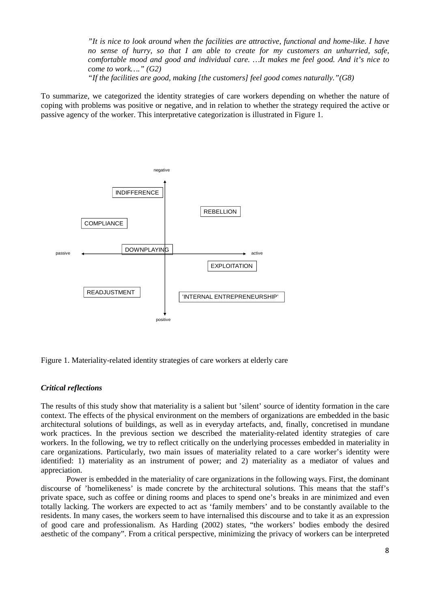*"It is nice to look around when the facilities are attractive, functional and home-like. I have no sense of hurry, so that I am able to create for my customers an unhurried, safe, comfortable mood and good and individual care. …It makes me feel good. And it's nice to come to work…." (G2)* 

*"If the facilities are good, making [the customers] feel good comes naturally."(G8)* 

To summarize, we categorized the identity strategies of care workers depending on whether the nature of coping with problems was positive or negative, and in relation to whether the strategy required the active or passive agency of the worker. This interpretative categorization is illustrated in Figure 1.



Figure 1. Materiality-related identity strategies of care workers at elderly care

#### *Critical reflections*

The results of this study show that materiality is a salient but 'silent' source of identity formation in the care context. The effects of the physical environment on the members of organizations are embedded in the basic architectural solutions of buildings, as well as in everyday artefacts, and, finally, concretised in mundane work practices. In the previous section we described the materiality-related identity strategies of care workers. In the following, we try to reflect critically on the underlying processes embedded in materiality in care organizations. Particularly, two main issues of materiality related to a care worker's identity were identified: 1) materiality as an instrument of power; and 2) materiality as a mediator of values and appreciation.

Power is embedded in the materiality of care organizations in the following ways. First, the dominant discourse of 'homelikeness' is made concrete by the architectural solutions. This means that the staff's private space, such as coffee or dining rooms and places to spend one's breaks in are minimized and even totally lacking. The workers are expected to act as 'family members' and to be constantly available to the residents. In many cases, the workers seem to have internalised this discourse and to take it as an expression of good care and professionalism. As Harding (2002) states, "the workers' bodies embody the desired aesthetic of the company". From a critical perspective, minimizing the privacy of workers can be interpreted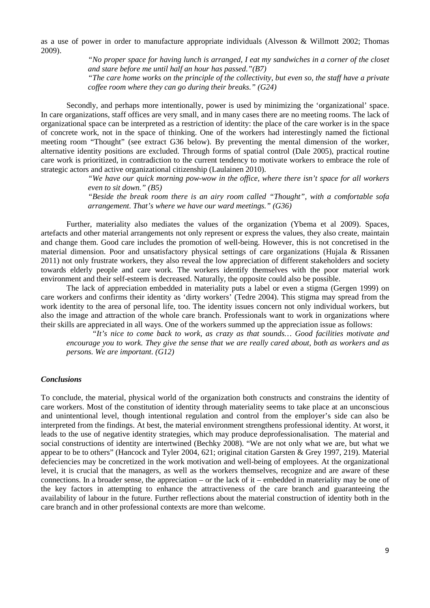as a use of power in order to manufacture appropriate individuals (Alvesson & Willmott 2002; Thomas 2009).

> *"No proper space for having lunch is arranged, I eat my sandwiches in a corner of the closet and stare before me until half an hour has passed."(B7) "The care home works on the principle of the collectivity, but even so, the staff have a private coffee room where they can go during their breaks." (G24)*

Secondly, and perhaps more intentionally, power is used by minimizing the 'organizational' space. In care organizations, staff offices are very small, and in many cases there are no meeting rooms. The lack of organizational space can be interpreted as a restriction of identity: the place of the care worker is in the space of concrete work, not in the space of thinking. One of the workers had interestingly named the fictional meeting room "Thought" (see extract G36 below). By preventing the mental dimension of the worker, alternative identity positions are excluded. Through forms of spatial control (Dale 2005), practical routine care work is prioritized, in contradiction to the current tendency to motivate workers to embrace the role of strategic actors and active organizational citizenship (Laulainen 2010).

*"We have our quick morning pow-wow in the office, where there isn't space for all workers even to sit down." (B5)* 

*"Beside the break room there is an airy room called "Thought", with a comfortable sofa arrangement. That's where we have our ward meetings." (G36)*

Further, materiality also mediates the values of the organization (Ybema et al 2009). Spaces, artefacts and other material arrangements not only represent or express the values, they also create, maintain and change them. Good care includes the promotion of well-being. However, this is not concretised in the material dimension. Poor and unsatisfactory physical settings of care organizations (Hujala & Rissanen 2011) not only frustrate workers, they also reveal the low appreciation of different stakeholders and society towards elderly people and care work. The workers identify themselves with the poor material work environment and their self-esteem is decreased. Naturally, the opposite could also be possible.

The lack of appreciation embedded in materiality puts a label or even a stigma (Gergen 1999) on care workers and confirms their identity as 'dirty workers' (Tedre 2004). This stigma may spread from the work identity to the area of personal life, too. The identity issues concern not only individual workers, but also the image and attraction of the whole care branch. Professionals want to work in organizations where their skills are appreciated in all ways. One of the workers summed up the appreciation issue as follows:

*"It's nice to come back to work, as crazy as that sounds… Good facilities motivate and encourage you to work. They give the sense that we are really cared about, both as workers and as persons. We are important. (G12)* 

#### *Conclusions*

To conclude, the material, physical world of the organization both constructs and constrains the identity of care workers. Most of the constitution of identity through materiality seems to take place at an unconscious and unintentional level, though intentional regulation and control from the employer's side can also be interpreted from the findings. At best, the material environment strengthens professional identity. At worst, it leads to the use of negative identity strategies, which may produce deprofessionalisation. The material and social constructions of identity are intertwined (Bechky 2008). "We are not only what we are, but what we appear to be to others" (Hancock and Tyler 2004, 621; original citation Garsten & Grey 1997, 219). Material defeciencies may be concretized in the work motivation and well-being of employees. At the organizational level, it is crucial that the managers, as well as the workers themselves, recognize and are aware of these connections. In a broader sense, the appreciation – or the lack of it – embedded in materiality may be one of the key factors in attempting to enhance the attractiveness of the care branch and guaranteeing the availability of labour in the future. Further reflections about the material construction of identity both in the care branch and in other professional contexts are more than welcome.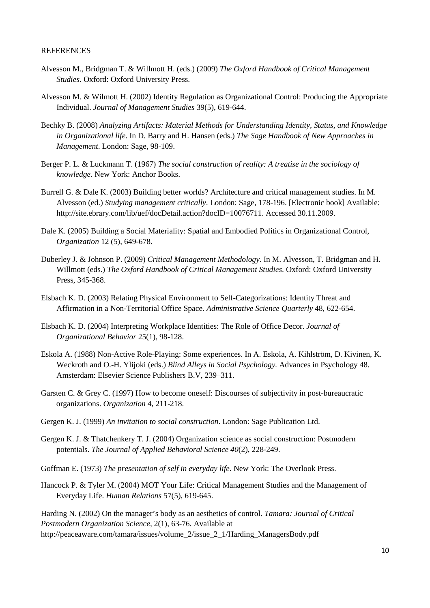#### **REFERENCES**

- Alvesson M., Bridgman T. & Willmott H. (eds.) (2009) *The Oxford Handbook of Critical Management Studies*. Oxford: Oxford University Press.
- Alvesson M. & Wilmott H. (2002) Identity Regulation as Organizational Control: Producing the Appropriate Individual. *Journal of Management Studies* 39(5), 619-644.
- Bechky B. (2008) *Analyzing Artifacts: Material Methods for Understanding Identity, Status, and Knowledge in Organizational life*. In D. Barry and H. Hansen (eds.) *The Sage Handbook of New Approaches in Management*. London: Sage, 98-109.
- Berger P. L. & Luckmann T. (1967) *The social construction of reality: A treatise in the sociology of knowledge*. New York: Anchor Books.
- Burrell G. & Dale K. (2003) Building better worlds? Architecture and critical management studies. In M. Alvesson (ed.) *Studying management critically*. London: Sage, 178-196. [Electronic book] Available: http://site.ebrary.com/lib/uef/docDetail.action?docID=10076711. Accessed 30.11.2009.
- Dale K. (2005) Building a Social Materiality: Spatial and Embodied Politics in Organizational Control, *Organization* 12 (5), 649-678.
- Duberley J. & Johnson P. (2009) *Critical Management Methodology*. In M. Alvesson, T. Bridgman and H. Willmott (eds.) *The Oxford Handbook of Critical Management Studies*. Oxford: Oxford University Press, 345-368.
- Elsbach K. D. (2003) Relating Physical Environment to Self-Categorizations: Identity Threat and Affirmation in a Non-Territorial Office Space. *Administrative Science Quarterly* 48, 622-654.
- Elsbach K. D. (2004) Interpreting Workplace Identities: The Role of Office Decor. *Journal of Organizational Behavior* 25(1), 98-128.
- Eskola A. (1988) Non-Active Role-Playing: Some experiences. In A. Eskola, A. Kihlström, D. Kivinen, K. Weckroth and O.-H. Ylijoki (eds.) *Blind Alleys in Social Psychology.* Advances in Psychology 48. Amsterdam: Elsevier Science Publishers B.V, 239–311.
- Garsten C. & Grey C. (1997) How to become oneself: Discourses of subjectivity in post-bureaucratic organizations. *Organization* 4, 211-218.
- Gergen K. J. (1999) *An invitation to social construction*. London: Sage Publication Ltd.
- Gergen K. J. & Thatchenkery T. J. (2004) Organization science as social construction: Postmodern potentials. *The Journal of Applied Behavioral Science 40*(2), 228-249.
- Goffman E. (1973) *The presentation of self in everyday life.* New York: The Overlook Press.
- Hancock P. & Tyler M. (2004) MOT Your Life: Critical Management Studies and the Management of Everyday Life. *Human Relations* 57(5), 619-645.

Harding N. (2002) On the manager's body as an aesthetics of control. *Tamara: Journal of Critical Postmodern Organization Science,* 2(1), 63-76. Available at http://peaceaware.com/tamara/issues/volume\_2/issue\_2\_1/Harding\_ManagersBody.pdf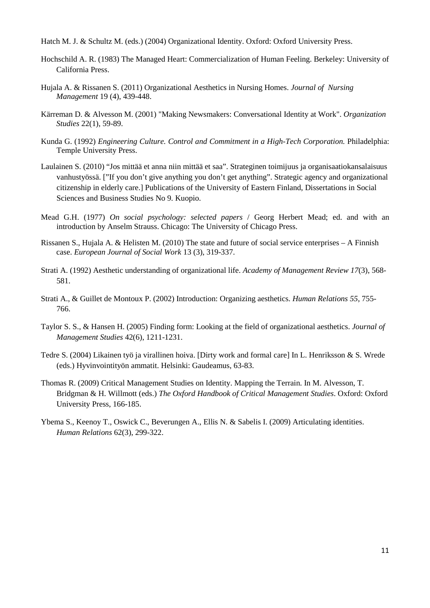- Hatch M. J. & Schultz M. (eds.) (2004) Organizational Identity. Oxford: Oxford University Press.
- Hochschild A. R. (1983) The Managed Heart: Commercialization of Human Feeling. Berkeley: University of California Press.
- Hujala A. & Rissanen S. (2011) Organizational Aesthetics in Nursing Homes. *Journal of Nursing Management* 19 (4), 439-448.
- Kärreman D. & Alvesson M. (2001) "Making Newsmakers: Conversational Identity at Work". *Organization Studies* 22(1), 59-89.
- Kunda G. (1992) *Engineering Culture. Control and Commitment in a High-Tech Corporation.* Philadelphia: Temple University Press.
- Laulainen S. (2010) "Jos mittää et anna niin mittää et saa". Strateginen toimijuus ja organisaatiokansalaisuus vanhustyössä. ["If you don't give anything you don't get anything". Strategic agency and organizational citizenship in elderly care.] Publications of the University of Eastern Finland, Dissertations in Social Sciences and Business Studies No 9. Kuopio.
- Mead G.H. (1977) *On social psychology: selected papers* / Georg Herbert Mead; ed. and with an introduction by Anselm Strauss. Chicago: The University of Chicago Press.
- Rissanen S., Hujala A. & Helisten M. (2010) The state and future of social service enterprises A Finnish case. *European Journal of Social Work* 13 (3), 319-337.
- Strati A. (1992) Aesthetic understanding of organizational life. *Academy of Management Review 17*(3), 568- 581.
- Strati A., & Guillet de Montoux P. (2002) Introduction: Organizing aesthetics. *Human Relations 55*, 755- 766.
- Taylor S. S., & Hansen H. (2005) Finding form: Looking at the field of organizational aesthetics. *Journal of Management Studies* 42(6), 1211-1231.
- Tedre S. (2004) Likainen työ ja virallinen hoiva. [Dirty work and formal care] In L. Henriksson & S. Wrede (eds.) Hyvinvointityön ammatit. Helsinki: Gaudeamus, 63-83.
- Thomas R. (2009) Critical Management Studies on Identity. Mapping the Terrain. In M. Alvesson, T. Bridgman & H. Willmott (eds.) *The Oxford Handbook of Critical Management Studies*. Oxford: Oxford University Press, 166-185.
- Ybema S., Keenoy T., Oswick C., Beverungen A., Ellis N. & Sabelis I. (2009) Articulating identities. *Human Relations* 62(3), 299-322.